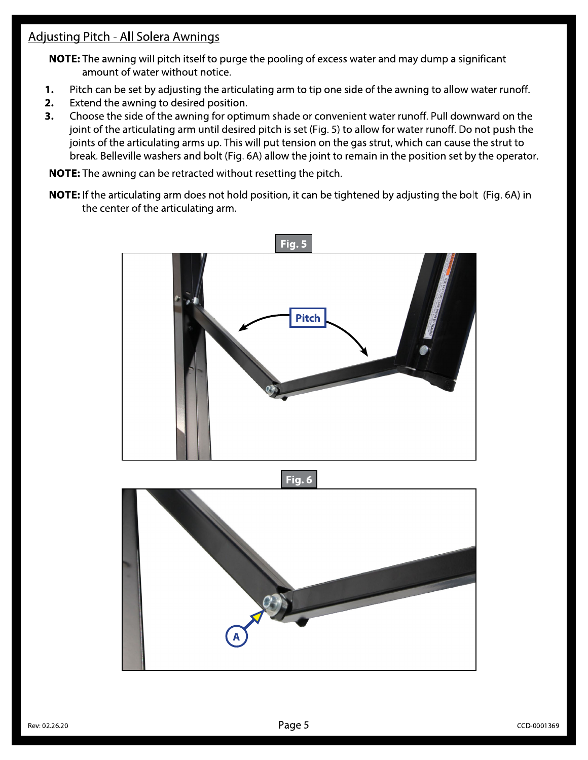## **Adjusting Pitch - All Solera Awnings**

NOTE: The awning will pitch itself to purge the pooling of excess water and may dump a significant amount of water without notice.

- 1. Pitch can be set by adjusting the articulating arm to tip one side of the awning to allow water runoff.
- 2. Extend the awning to desired position.
- 3. Choose the side of the awning for optimum shade or convenient water runoff. Pull downward on the joint of the articulating arm until desired pitch is set (Fig. 5) to allow for water runoff. Do not push the joints of the articulating arms up. This will put tension on the gas strut, which can cause the strut to break. Belleville washers and bolt (Fig. 6A) allow the joint to remain in the position set by the operator.

NOTE: The awning can be retracted without resetting the pitch.

NOTE: If the articulating arm does not hold position, it can be tightened by adjusting the bolt (Fig. 6A) in the center of the articulating arm.



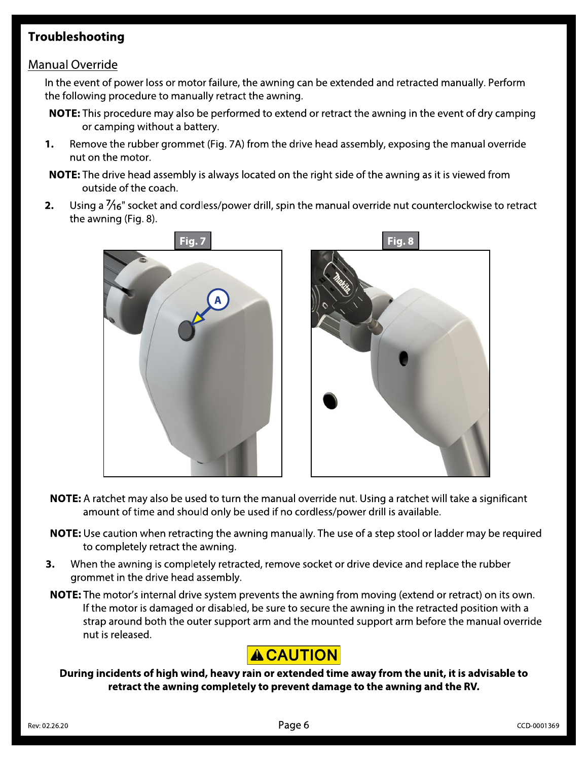### **Troubleshooting**

#### **Manual Override**

In the event of power loss or motor failure, the awning can be extended and retracted manually. Perform the following procedure to manually retract the awning.

- **NOTE:** This procedure may also be performed to extend or retract the awning in the event of dry camping or camping without a battery.
- 1. Remove the rubber grommet (Fig. 7A) from the drive head assembly, exposing the manual override nut on the motor.
- **NOTE:** The drive head assembly is always located on the right side of the awning as it is viewed from outside of the coach.
- $2.$ Using a  $\frac{7}{16}$  socket and cordless/power drill, spin the manual override nut counterclockwise to retract the awning (Fig. 8).



- NOTE: A ratchet may also be used to turn the manual override nut. Using a ratchet will take a significant amount of time and should only be used if no cordless/power drill is available.
- NOTE: Use caution when retracting the awning manually. The use of a step stool or ladder may be required to completely retract the awning.
- 3. When the awning is completely retracted, remove socket or drive device and replace the rubber grommet in the drive head assembly.
- **NOTE:** The motor's internal drive system prevents the awning from moving (extend or retract) on its own. If the motor is damaged or disabled, be sure to secure the awning in the retracted position with a strap around both the outer support arm and the mounted support arm before the manual override nut is released.

# **ACAUTION**

During incidents of high wind, heavy rain or extended time away from the unit, it is advisable to retract the awning completely to prevent damage to the awning and the RV.